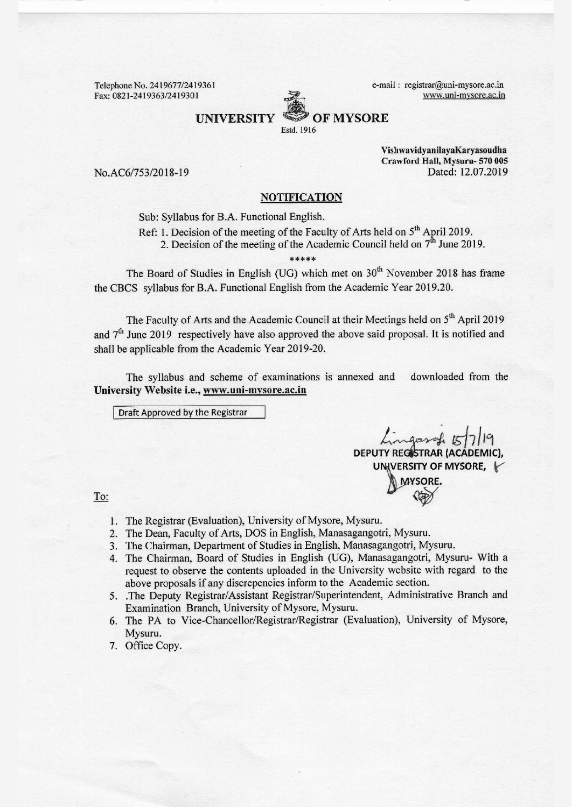Telephone No. 2419677/2419361 Fax: 0821-2419363/2419301

e-mail: registrar@uni-mysore.ac.in www.uni-mysore.ac.in

**UNIVERSITY OF MYSORE** 

Estd. 1916

No.AC6/753/2018-19

VishwavidyanilayaKaryasoudha Crawford Hall, Mysuru- 570 005 Dated: 12.07.2019

#### **NOTIFICATION**

Sub: Syllabus for B.A. Functional English.

Ref: 1. Decision of the meeting of the Faculty of Arts held on 5<sup>th</sup> April 2019.

2. Decision of the meeting of the Academic Council held on  $7<sup>th</sup>$  June 2019.

\*\*\*\*\*

The Board of Studies in English (UG) which met on 30<sup>th</sup> November 2018 has frame the CBCS syllabus for B.A. Functional English from the Academic Year 2019.20.

The Faculty of Arts and the Academic Council at their Meetings held on 5<sup>th</sup> April 2019 and  $7<sup>th</sup>$  June 2019 respectively have also approved the above said proposal. It is notified and shall be applicable from the Academic Year 2019-20.

The syllabus and scheme of examinations is annexed and downloaded from the University Website i.e., www.uni-mysore.ac.in

Draft Approved by the Registrar

DEPUTY REGISTRAR (ACÁDEMIC), UNIVERSITY OF MYSORE, **MYSORE** 

To:

- 1. The Registrar (Evaluation), University of Mysore, Mysuru.
- 2. The Dean, Faculty of Arts, DOS in English, Manasagangotri, Mysuru.
- 3. The Chairman, Department of Studies in English, Manasagangotri, Mysuru.
- 4. The Chairman, Board of Studies in English (UG), Manasagangotri, Mysuru- With a request to observe the contents uploaded in the University website with regard to the above proposals if any discrepencies inform to the Academic section.
- 5. .The Deputy Registrar/Assistant Registrar/Superintendent, Administrative Branch and Examination Branch, University of Mysore, Mysuru.
- 6. The PA to Vice-Chancellor/Registrar/Registrar (Evaluation), University of Mysore, Mysuru.
- 7. Office Copy.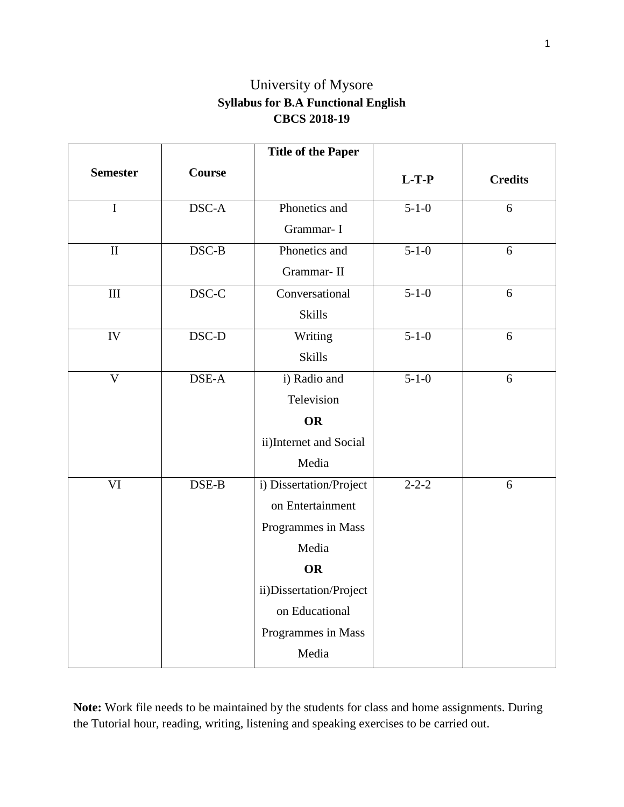# University of Mysore **Syllabus for B.A Functional English CBCS 2018-19**

|                         |                           | <b>Title of the Paper</b> |             |                |
|-------------------------|---------------------------|---------------------------|-------------|----------------|
| <b>Semester</b>         | <b>Course</b>             |                           | $L-T-P$     | <b>Credits</b> |
| $\mathbf I$             | DSC-A                     | Phonetics and             | $5 - 1 - 0$ | 6              |
|                         |                           | Grammar- I                |             |                |
| $\mathbf{I}$            | DSC-B                     | Phonetics and             | $5 - 1 - 0$ | 6              |
|                         |                           | Grammar-II                |             |                |
| III                     | $DSC-C$                   | Conversational            | $5 - 1 - 0$ | 6              |
|                         |                           | <b>Skills</b>             |             |                |
| IV                      | DSC-D                     | Writing                   | $5 - 1 - 0$ | 6              |
|                         |                           | <b>Skills</b>             |             |                |
| $\overline{\mathsf{V}}$ | DSE-A                     | i) Radio and              | $5 - 1 - 0$ | 6              |
|                         |                           | Television                |             |                |
|                         |                           | <b>OR</b>                 |             |                |
|                         |                           | ii)Internet and Social    |             |                |
|                         |                           | Media                     |             |                |
| VI                      | $\overline{\text{DSE-B}}$ | i) Dissertation/Project   | $2 - 2 - 2$ | 6              |
|                         |                           | on Entertainment          |             |                |
|                         |                           | Programmes in Mass        |             |                |
|                         |                           | Media                     |             |                |
|                         |                           | <b>OR</b>                 |             |                |
|                         |                           | ii)Dissertation/Project   |             |                |
|                         |                           | on Educational            |             |                |
|                         |                           | Programmes in Mass        |             |                |
|                         |                           | Media                     |             |                |

**Note:** Work file needs to be maintained by the students for class and home assignments. During the Tutorial hour, reading, writing, listening and speaking exercises to be carried out.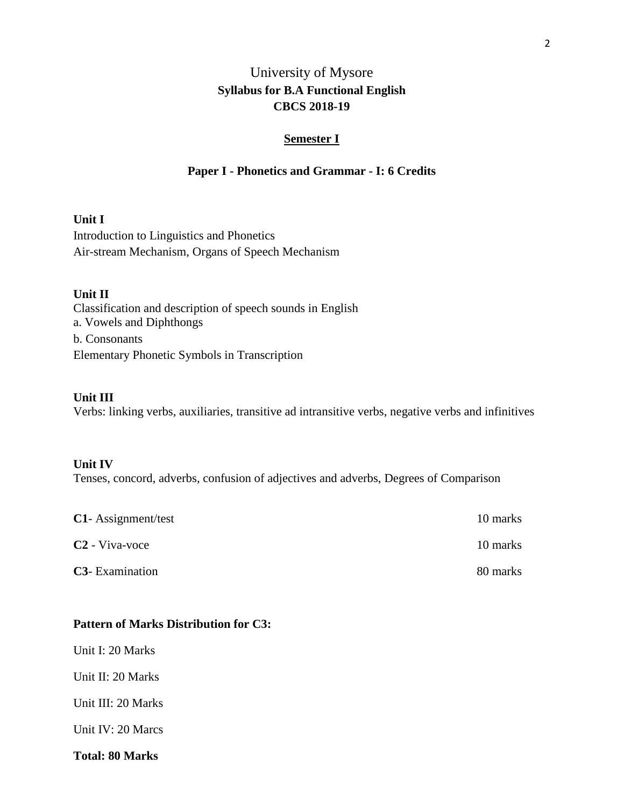# University of Mysore **Syllabus for B.A Functional English CBCS 2018-19**

#### **Semester I**

#### **Paper I - Phonetics and Grammar - I: 6 Credits**

#### **Unit I**

Introduction to Linguistics and Phonetics Air-stream Mechanism, Organs of Speech Mechanism

#### **Unit II**

Classification and description of speech sounds in English a. Vowels and Diphthongs b. Consonants Elementary Phonetic Symbols in Transcription

#### **Unit III**

Verbs: linking verbs, auxiliaries, transitive ad intransitive verbs, negative verbs and infinitives

#### **Unit IV**

Tenses, concord, adverbs, confusion of adjectives and adverbs, Degrees of Comparison

| $C1$ - Assignment/test     | 10 marks |
|----------------------------|----------|
| C <sub>2</sub> - Viva-voce | 10 marks |
| <b>C3</b> - Examination    | 80 marks |

#### **Pattern of Marks Distribution for C3:**

Unit I: 20 Marks

Unit II: 20 Marks

Unit III: 20 Marks

Unit IV: 20 Marcs

**Total: 80 Marks**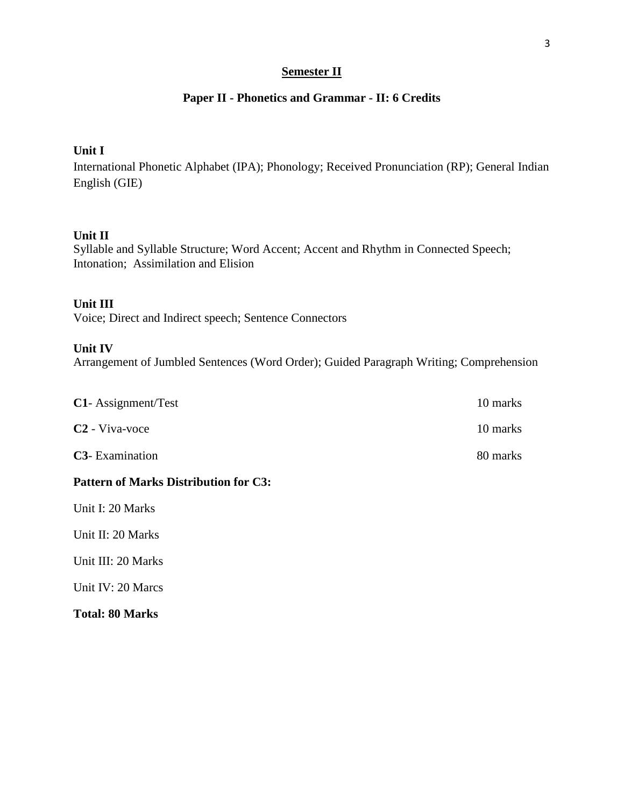### **Semester II**

# **Paper II - Phonetics and Grammar - II: 6 Credits**

### **Unit I**

International Phonetic Alphabet (IPA); Phonology; Received Pronunciation (RP); General Indian English (GIE)

# **Unit II**

Syllable and Syllable Structure; Word Accent; Accent and Rhythm in Connected Speech; Intonation; Assimilation and Elision

### **Unit III**

Voice; Direct and Indirect speech; Sentence Connectors

### **Unit IV**

Arrangement of Jumbled Sentences (Word Order); Guided Paragraph Writing; Comprehension

| <b>C1</b> - Assignment/Test | 10 marks |
|-----------------------------|----------|
| C <sub>2</sub> - Viva-voce  | 10 marks |
| <b>C3</b> - Examination     | 80 marks |

### **Pattern of Marks Distribution for C3:**

Unit I: 20 Marks

Unit II: 20 Marks

Unit III: 20 Marks

Unit IV: 20 Marcs

**Total: 80 Marks**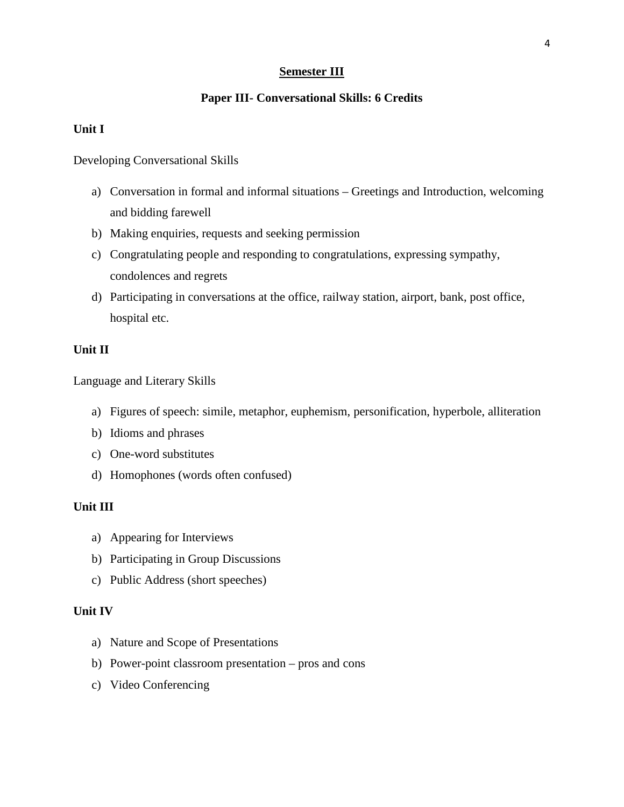### **Semester III**

# **Paper III- Conversational Skills: 6 Credits**

## **Unit I**

## Developing Conversational Skills

- a) Conversation in formal and informal situations Greetings and Introduction, welcoming and bidding farewell
- b) Making enquiries, requests and seeking permission
- c) Congratulating people and responding to congratulations, expressing sympathy, condolences and regrets
- d) Participating in conversations at the office, railway station, airport, bank, post office, hospital etc.

### **Unit II**

Language and Literary Skills

- a) Figures of speech: simile, metaphor, euphemism, personification, hyperbole, alliteration
- b) Idioms and phrases
- c) One-word substitutes
- d) Homophones (words often confused)

### **Unit III**

- a) Appearing for Interviews
- b) Participating in Group Discussions
- c) Public Address (short speeches)

### **Unit IV**

- a) Nature and Scope of Presentations
- b) Power-point classroom presentation pros and cons
- c) Video Conferencing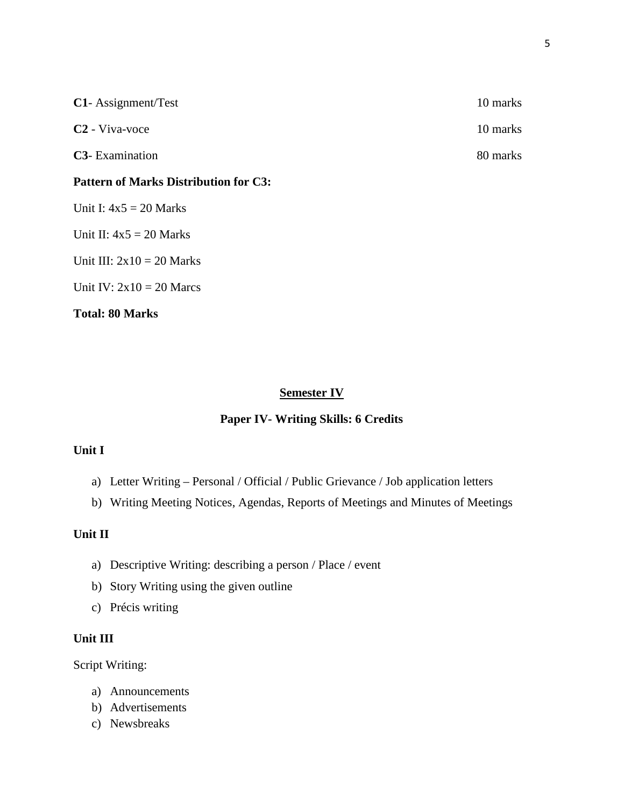| <b>C1</b> - Assignment/Test                  | 10 marks |
|----------------------------------------------|----------|
| C <sub>2</sub> - Viva-voce                   | 10 marks |
| <b>C3</b> - Examination                      | 80 marks |
| <b>Pattern of Marks Distribution for C3:</b> |          |
| Unit I: $4x5 = 20$ Marks                     |          |
| Unit II: $4x5 = 20$ Marks                    |          |
| Unit III: $2x10 = 20$ Marks                  |          |
| Unit IV: $2x10 = 20$ Marcs                   |          |

#### **Total: 80 Marks**

#### **Semester IV**

# **Paper IV- Writing Skills: 6 Credits**

### **Unit I**

- a) Letter Writing Personal / Official / Public Grievance / Job application letters
- b) Writing Meeting Notices, Agendas, Reports of Meetings and Minutes of Meetings

# **Unit II**

- a) Descriptive Writing: describing a person / Place / event
- b) Story Writing using the given outline
- c) Précis writing

### **Unit III**

Script Writing:

- a) Announcements
- b) Advertisements
- c) Newsbreaks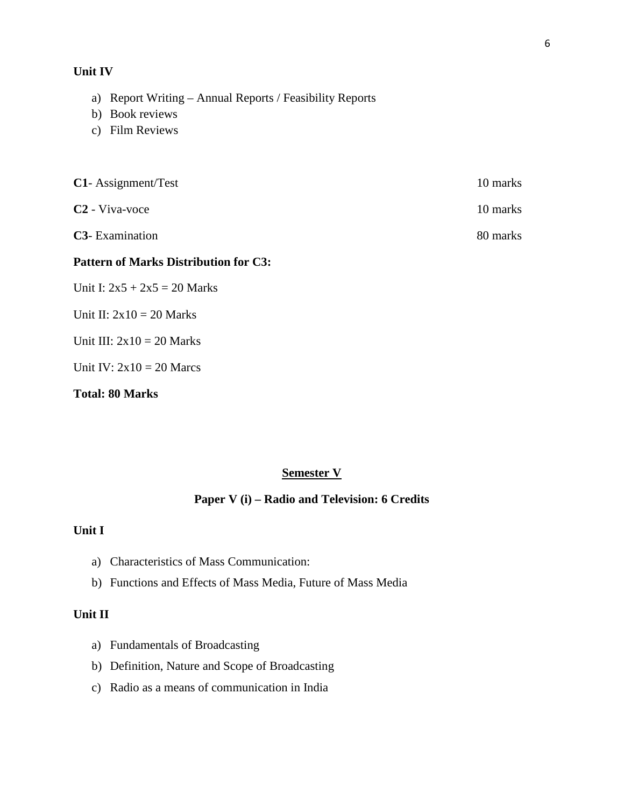### **Unit IV**

- a) Report Writing Annual Reports / Feasibility Reports
- b) Book reviews
- c) Film Reviews

| <b>Pattern of Marks Distribution for C3:</b> |          |
|----------------------------------------------|----------|
| <b>C3</b> -Examination                       | 80 marks |
| C <sub>2</sub> - Viva-voce                   | 10 marks |
| <b>C1</b> -Assignment/Test                   | 10 marks |

- Unit I:  $2x5 + 2x5 = 20$  Marks
- Unit II:  $2x10 = 20$  Marks
- Unit III:  $2x10 = 20$  Marks
- Unit IV:  $2x10 = 20$  Marcs

#### **Total: 80 Marks**

# **Semester V**

### **Paper V (i) – Radio and Television: 6 Credits**

#### **Unit I**

- a) Characteristics of Mass Communication:
- b) Functions and Effects of Mass Media, Future of Mass Media

#### **Unit II**

- a) Fundamentals of Broadcasting
- b) Definition, Nature and Scope of Broadcasting
- c) Radio as a means of communication in India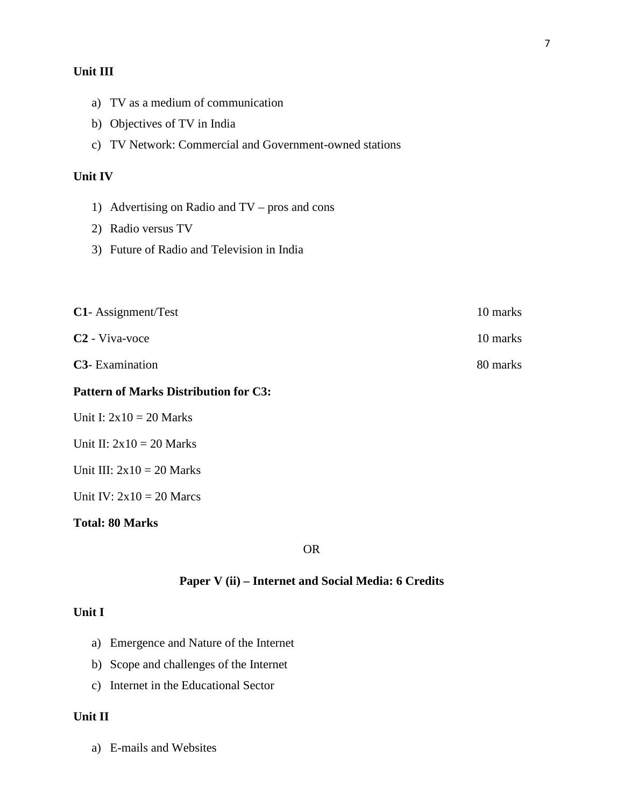### **Unit III**

- a) TV as a medium of communication
- b) Objectives of TV in India
- c) TV Network: Commercial and Government-owned stations

#### **Unit IV**

- 1) Advertising on Radio and TV pros and cons
- 2) Radio versus TV
- 3) Future of Radio and Television in India

| <b>Pattern of Marks Distribution for C3:</b> |          |
|----------------------------------------------|----------|
| <b>C3</b> - Examination                      | 80 marks |
| C <sub>2</sub> - Viva-voce                   | 10 marks |
| <b>C1</b> - Assignment/Test                  | 10 marks |

- Unit I:  $2x10 = 20$  Marks
- Unit II:  $2x10 = 20$  Marks
- Unit III:  $2x10 = 20$  Marks
- Unit IV:  $2x10 = 20$  Marcs

### **Total: 80 Marks**

OR

## **Paper V (ii) – Internet and Social Media: 6 Credits**

### **Unit I**

- a) Emergence and Nature of the Internet
- b) Scope and challenges of the Internet
- c) Internet in the Educational Sector

#### **Unit II**

a) E-mails and Websites